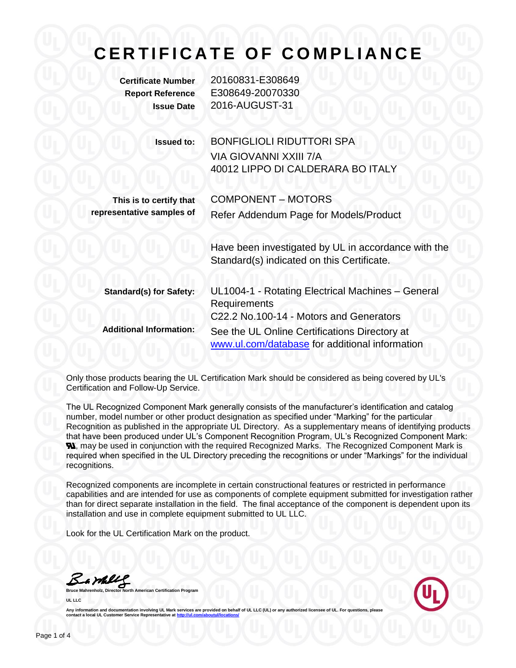**Certificate Number** 20160831-E308649 **Report Reference** E308649-20070330 **Issue Date** 2016-AUGUST-31

| <b>Issued to:</b>              | <b>BONFIGLIOLI RIDUTTORI SPA</b>                                                                  |
|--------------------------------|---------------------------------------------------------------------------------------------------|
|                                | VIA GIOVANNI XXIII 7/A                                                                            |
|                                | 40012 LIPPO DI CALDERARA BO ITALY                                                                 |
| This is to certify that        | <b>COMPONENT - MOTORS</b>                                                                         |
| representative samples of      | Refer Addendum Page for Models/Product                                                            |
|                                | Have been investigated by UL in accordance with the<br>Standard(s) indicated on this Certificate. |
| <b>Standard(s) for Safety:</b> | UL1004-1 - Rotating Electrical Machines - General<br>Requirements                                 |
|                                | C22.2 No.100-14 - Motors and Generators                                                           |
| <b>Additional Information:</b> | See the UL Online Certifications Directory at                                                     |
|                                | www.ul.com/database for additional information                                                    |

Only those products bearing the UL Certification Mark should be considered as being covered by UL's Certification and Follow-Up Service.

The UL Recognized Component Mark generally consists of the manufacturer's identification and catalog number, model number or other product designation as specified under "Marking" for the particular Recognition as published in the appropriate UL Directory. As a supplementary means of identifying products that have been produced under UL's Component Recognition Program, UL's Recognized Component Mark: **N.** may be used in conjunction with the required Recognized Marks. The Recognized Component Mark is required when specified in the UL Directory preceding the recognitions or under "Markings" for the individual recognitions.

Recognized components are incomplete in certain constructional features or restricted in performance capabilities and are intended for use as components of complete equipment submitted for investigation rather than for direct separate installation in the field. The final acceptance of the component is dependent upon its installation and use in complete equipment submitted to UL LLC.

Look for the UL Certification Mark on the product.

Bambles

**Bruce Mahrenholz, Director North American Certification Program UL LLC**

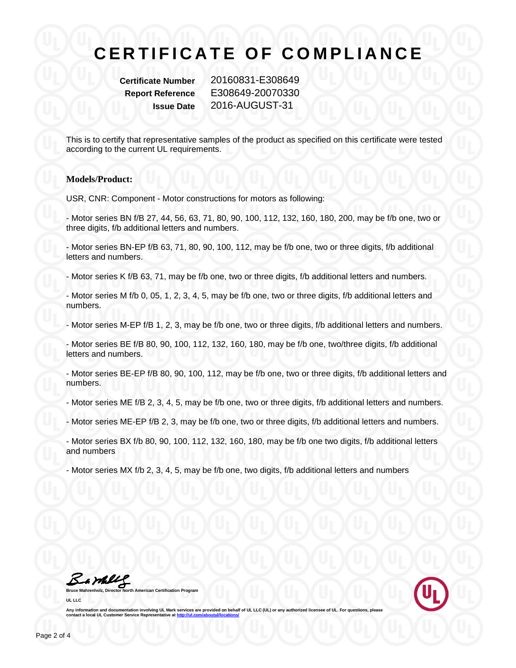**Certificate Number** 20160831-E308649 **Report Reference** E308649-20070330 **Issue Date** 2016-AUGUST-31

This is to certify that representative samples of the product as specified on this certificate were tested according to the current UL requirements.

#### **Models/Product:**

USR, CNR: Component - Motor constructions for motors as following:

- Motor series BN f/B 27, 44, 56, 63, 71, 80, 90, 100, 112, 132, 160, 180, 200, may be f/b one, two or three digits, f/b additional letters and numbers.

- Motor series BN-EP f/B 63, 71, 80, 90, 100, 112, may be f/b one, two or three digits, f/b additional letters and numbers.

- Motor series K f/B 63, 71, may be f/b one, two or three digits, f/b additional letters and numbers.

- Motor series M f/b 0, 05, 1, 2, 3, 4, 5, may be f/b one, two or three digits, f/b additional letters and numbers.

- Motor series M-EP f/B 1, 2, 3, may be f/b one, two or three digits, f/b additional letters and numbers.

- Motor series BE f/B 80, 90, 100, 112, 132, 160, 180, may be f/b one, two/three digits, f/b additional letters and numbers.

- Motor series BE-EP f/B 80, 90, 100, 112, may be f/b one, two or three digits, f/b additional letters and numbers.

- Motor series ME f/B 2, 3, 4, 5, may be f/b one, two or three digits, f/b additional letters and numbers.

- Motor series ME-EP f/B 2, 3, may be f/b one, two or three digits, f/b additional letters and numbers.

- Motor series BX f/b 80, 90, 100, 112, 132, 160, 180, may be f/b one two digits, f/b additional letters and numbers

- Motor series MX f/b 2, 3, 4, 5, may be f/b one, two digits, f/b additional letters and numbers

Bambles

**American Certification Program UL LLC**

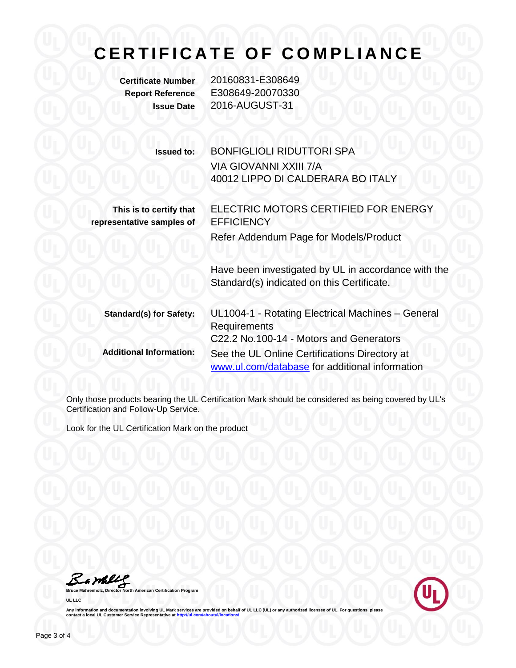**Certificate Number** 20160831-E308649 **Report Reference** E308649-20070330 **Issue Date** 2016-AUGUST-31

| <b>Issued to:</b>              | BONFIGLIOLI RIDUTTORI SPA                                                                         |
|--------------------------------|---------------------------------------------------------------------------------------------------|
|                                | VIA GIOVANNI XXIII 7/A                                                                            |
|                                | 40012 LIPPO DI CALDERARA BO ITALY                                                                 |
| This is to certify that        | ELECTRIC MOTORS CERTIFIED FOR ENERGY                                                              |
| representative samples of      | <b>EFFICIENCY</b>                                                                                 |
|                                | Refer Addendum Page for Models/Product                                                            |
|                                | Have been investigated by UL in accordance with the<br>Standard(s) indicated on this Certificate. |
| <b>Standard(s) for Safety:</b> | UL1004-1 - Rotating Electrical Machines - General<br>Requirements                                 |
|                                | C22.2 No.100-14 - Motors and Generators                                                           |
| <b>Additional Information:</b> | See the UL Online Certifications Directory at<br>www.ul.com/database for additional information   |

Only those products bearing the UL Certification Mark should be considered as being covered by UL's Certification and Follow-Up Service.

Look for the UL Certification Mark on the product

**Bruce Mahrenholz, Director North American Certification Program** 

**UL LLC**